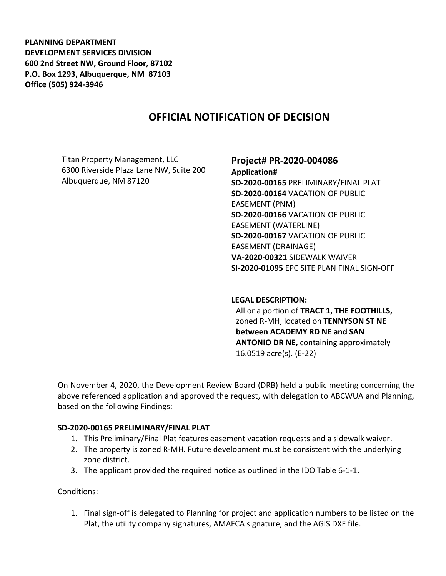**PLANNING DEPARTMENT DEVELOPMENT SERVICES DIVISION 600 2nd Street NW, Ground Floor, 87102 P.O. Box 1293, Albuquerque, NM 87103 Office (505) 924-3946** 

# **OFFICIAL NOTIFICATION OF DECISION**

Titan Property Management, LLC 6300 Riverside Plaza Lane NW, Suite 200 Albuquerque, NM 87120

# **Project# PR-2020-004086**

**Application# SD-2020-00165** PRELIMINARY/FINAL PLAT **SD-2020-00164** VACATION OF PUBLIC EASEMENT (PNM) **SD-2020-00166** VACATION OF PUBLIC EASEMENT (WATERLINE) **SD-2020-00167** VACATION OF PUBLIC EASEMENT (DRAINAGE) **VA-2020-00321** SIDEWALK WAIVER **SI-2020-01095** EPC SITE PLAN FINAL SIGN-OFF

#### **LEGAL DESCRIPTION:**

All or a portion of **TRACT 1, THE FOOTHILLS,**  zoned R-MH, located on **TENNYSON ST NE between ACADEMY RD NE and SAN ANTONIO DR NE,** containing approximately 16.0519 acre(s). (E-22)

On November 4, 2020, the Development Review Board (DRB) held a public meeting concerning the above referenced application and approved the request, with delegation to ABCWUA and Planning, based on the following Findings:

#### **SD-2020-00165 PRELIMINARY/FINAL PLAT**

- 1. This Preliminary/Final Plat features easement vacation requests and a sidewalk waiver.
- 2. The property is zoned R-MH. Future development must be consistent with the underlying zone district.
- 3. The applicant provided the required notice as outlined in the IDO Table 6-1-1.

Conditions:

1. Final sign-off is delegated to Planning for project and application numbers to be listed on the Plat, the utility company signatures, AMAFCA signature, and the AGIS DXF file.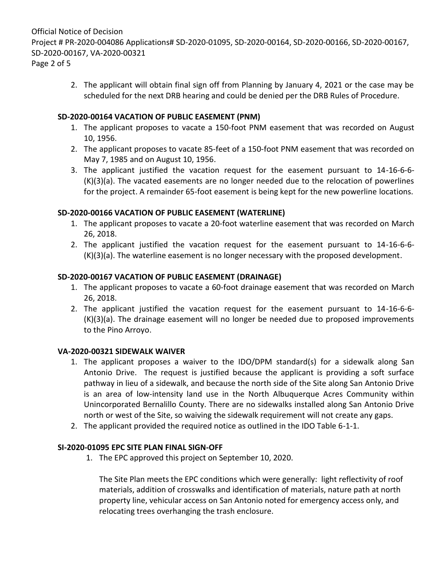Official Notice of Decision Project # PR-2020-004086 Applications# SD-2020-01095, SD-2020-00164, SD-2020-00166, SD-2020-00167, SD-2020-00167, VA-2020-00321 Page 2 of 5

> 2. The applicant will obtain final sign off from Planning by January 4, 2021 or the case may be scheduled for the next DRB hearing and could be denied per the DRB Rules of Procedure.

### **SD-2020-00164 VACATION OF PUBLIC EASEMENT (PNM)**

- 1. The applicant proposes to vacate a 150-foot PNM easement that was recorded on August 10, 1956.
- 2. The applicant proposes to vacate 85-feet of a 150-foot PNM easement that was recorded on May 7, 1985 and on August 10, 1956.
- 3. The applicant justified the vacation request for the easement pursuant to 14-16-6-6- (K)(3)(a). The vacated easements are no longer needed due to the relocation of powerlines for the project. A remainder 65-foot easement is being kept for the new powerline locations.

### **SD-2020-00166 VACATION OF PUBLIC EASEMENT (WATERLINE)**

- 1. The applicant proposes to vacate a 20-foot waterline easement that was recorded on March 26, 2018.
- 2. The applicant justified the vacation request for the easement pursuant to 14-16-6-6- (K)(3)(a). The waterline easement is no longer necessary with the proposed development.

### **SD-2020-00167 VACATION OF PUBLIC EASEMENT (DRAINAGE)**

- 1. The applicant proposes to vacate a 60-foot drainage easement that was recorded on March 26, 2018.
- 2. The applicant justified the vacation request for the easement pursuant to 14-16-6-6- (K)(3)(a). The drainage easement will no longer be needed due to proposed improvements to the Pino Arroyo.

#### **VA-2020-00321 SIDEWALK WAIVER**

- 1. The applicant proposes a waiver to the IDO/DPM standard(s) for a sidewalk along San Antonio Drive. The request is justified because the applicant is providing a soft surface pathway in lieu of a sidewalk, and because the north side of the Site along San Antonio Drive is an area of low-intensity land use in the North Albuquerque Acres Community within Unincorporated Bernalillo County. There are no sidewalks installed along San Antonio Drive north or west of the Site, so waiving the sidewalk requirement will not create any gaps.
- 2. The applicant provided the required notice as outlined in the IDO Table 6-1-1.

# **SI-2020-01095 EPC SITE PLAN FINAL SIGN-OFF**

1. The EPC approved this project on September 10, 2020.

The Site Plan meets the EPC conditions which were generally: light reflectivity of roof materials, addition of crosswalks and identification of materials, nature path at north property line, vehicular access on San Antonio noted for emergency access only, and relocating trees overhanging the trash enclosure.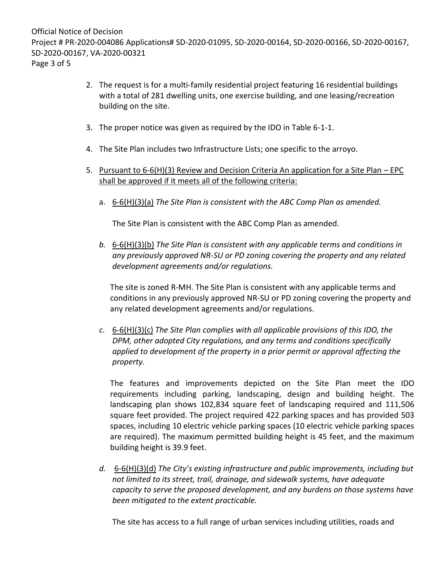- 2. The request is for a multi-family residential project featuring 16 residential buildings with a total of 281 dwelling units, one exercise building, and one leasing/recreation building on the site.
- 3. The proper notice was given as required by the IDO in Table 6-1-1.
- 4. The Site Plan includes two Infrastructure Lists; one specific to the arroyo.
- 5. Pursuant to 6-6(H)(3) Review and Decision Criteria An application for a Site Plan EPC shall be approved if it meets all of the following criteria:
	- a. 6-6(H)(3)(a) *The Site Plan is consistent with the ABC Comp Plan as amended.*

The Site Plan is consistent with the ABC Comp Plan as amended.

*b.* 6-6(H)(3)(b) *The Site Plan is consistent with any applicable terms and conditions in any previously approved NR-SU or PD zoning covering the property and any related development agreements and/or regulations.* 

The site is zoned R-MH. The Site Plan is consistent with any applicable terms and conditions in any previously approved NR-SU or PD zoning covering the property and any related development agreements and/or regulations.

*c.* 6-6(H)(3)(c) *The Site Plan complies with all applicable provisions of this IDO, the DPM, other adopted City regulations, and any terms and conditions specifically applied to development of the property in a prior permit or approval affecting the property.* 

The features and improvements depicted on the Site Plan meet the IDO requirements including parking, landscaping, design and building height. The landscaping plan shows 102,834 square feet of landscaping required and 111,506 square feet provided. The project required 422 parking spaces and has provided 503 spaces, including 10 electric vehicle parking spaces (10 electric vehicle parking spaces are required). The maximum permitted building height is 45 feet, and the maximum building height is 39.9 feet.

*d.* 6-6(H)(3)(d) *The City's existing infrastructure and public improvements, including but not limited to its street, trail, drainage, and sidewalk systems, have adequate capacity to serve the proposed development, and any burdens on those systems have been mitigated to the extent practicable.* 

The site has access to a full range of urban services including utilities, roads and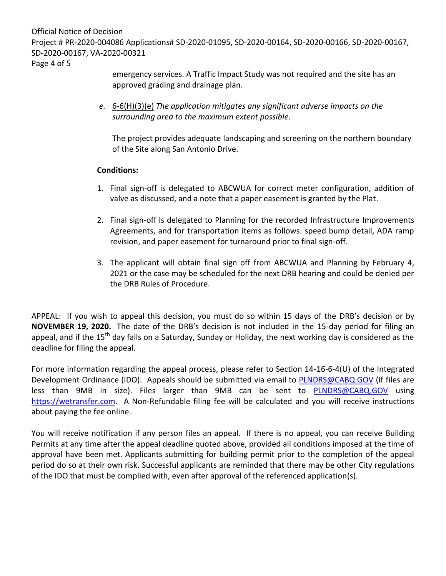Official Notice of Decision Project # PR-2020-004086 Applications# SD-2020-01095, SD-2020-00164, SD-2020-00166, SD-2020-00167, SD-2020-00167, VA-2020-00321

Page 4 of 5

emergency services. A Traffic Impact Study was not required and the site has an approved grading and drainage plan.

*e.* 6-6(H)(3)(e) *The application mitigates any significant adverse impacts on the surrounding area to the maximum extent possible.* 

The project provides adequate landscaping and screening on the northern boundary of the Site along San Antonio Drive.

# **Conditions:**

- 1. Final sign-off is delegated to ABCWUA for correct meter configuration, addition of valve as discussed, and a note that a paper easement is granted by the Plat.
- 2. Final sign-off is delegated to Planning for the recorded Infrastructure Improvements Agreements, and for transportation items as follows: speed bump detail, ADA ramp revision, and paper easement for turnaround prior to final sign-off.
- 3. The applicant will obtain final sign off from ABCWUA and Planning by February 4, 2021 or the case may be scheduled for the next DRB hearing and could be denied per the DRB Rules of Procedure.

APPEAL: If you wish to appeal this decision, you must do so within 15 days of the DRB's decision or by **NOVEMBER 19, 2020.** The date of the DRB's decision is not included in the 15-day period for filing an appeal, and if the 15<sup>th</sup> day falls on a Saturday, Sunday or Holiday, the next working day is considered as the deadline for filing the appeal.

For more information regarding the appeal process, please refer to Section 14-16-6-4(U) of the Integrated Development Ordinance (IDO). Appeals should be submitted via email to [PLNDRS@CABQ.GOV](mailto:PLNDRS@CABQ.GOV) (if files are less than 9MB in size). Files larger than 9MB can be sent to [PLNDRS@CABQ.GOV](mailto:PLNDRS@CABQ.GOV) using [https://wetransfer.com.](https://wetransfer.com/) A Non-Refundable filing fee will be calculated and you will receive instructions about paying the fee online.

You will receive notification if any person files an appeal. If there is no appeal, you can receive Building Permits at any time after the appeal deadline quoted above, provided all conditions imposed at the time of approval have been met. Applicants submitting for building permit prior to the completion of the appeal period do so at their own risk. Successful applicants are reminded that there may be other City regulations of the IDO that must be complied with, even after approval of the referenced application(s).